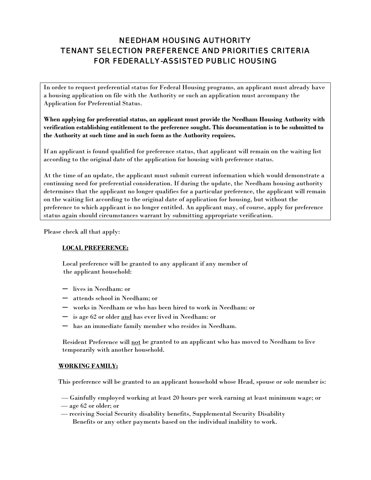# NEEDHAM HOUSING AUTHORITY TENANT SELECTION PREFERENCE AND PRIORITIES CRITERIA FOR FEDERALLY-ASSISTED PUBLIC HOUSING

In order to request preferential status for Federal Housing programs, an applicant must already have a housing application on file with the Authority or such an application must accompany the Application for Preferential Status.

**When applying for preferential status, an applicant must provide the Needham Housing Authority with verification establishing entitlement to the preference sought. This documentation is to be submitted to the Authority at such time and in such form as the Authority requires.** 

If an applicant is found qualified for preference status, that applicant will remain on the waiting list according to the original date of the application for housing with preference status.

At the time of an update, the applicant must submit current information which would demonstrate a continuing need for preferential consideration. If during the update, the Needham housing authority determines that the applicant no longer qualifies for a particular preference, the applicant will remain on the waiting list according to the original date of application for housing, but without the preference to which applicant is no longer entitled. An applicant may, of course, apply for preference status again should circumstances warrant by submitting appropriate verification.

Please check all that apply:

### **LOCAL PREFERENCE:**

Local preference will be granted to any applicant if any member of the applicant household:

- lives in Needham: or
- attends school in Needham; or
- works in Needham or who has been hired to work in Needham: or
- is age 62 or older and has ever lived in Needham: or
- has an immediate family member who resides in Needham.

Resident Preference will not be granted to an applicant who has moved to Needham to live temporarily with another household.

#### **WORKING FAMILY:**

This preference will be granted to an applicant household whose Head, spouse or sole member is:

- Gainfully employed working at least 20 hours per week earning at least minimum wage; or
- age 62 or older; or
- receiving Social Security disability benefits, Supplemental Security Disability Benefits or any other payments based on the individual inability to work.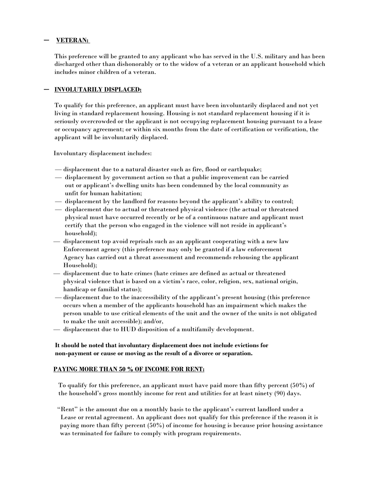## — **VETERAN:**

This preference will be granted to any applicant who has served in the U.S. military and has been discharged other than dishonorably or to the widow of a veteran or an applicant household which includes minor children of a veteran.

## — **INVOLUTARILY DISPLACED:**

To qualify for this preference, an applicant must have been involuntarily displaced and not yet living in standard replacement housing. Housing is not standard replacement housing if it is seriously overcrowded or the applicant is not occupying replacement housing pursuant to a lease or occupancy agreement; or within six months from the date of certification or verification, the applicant will be involuntarily displaced.

Involuntary displacement includes:

- displacement due to a natural disaster such as fire, flood or earthquake;
- displacement by government action so that a public improvement can be carried out or applicant's dwelling units has been condemned by the local community as unfit for human habitation;
- displacement by the landlord for reasons beyond the applicant's ability to control;
- displacement due to actual or threatened physical violence (the actual or threatened physical must have occurred recently or be of a continuous nature and applicant must certify that the person who engaged in the violence will not reside in applicant's household);
- displacement top avoid reprisals such as an applicant cooperating with a new law Enforcement agency (this preference may only be granted if a law enforcement Agency has carried out a threat assessment and recommends rehousing the applicant Household);
- displacement due to hate crimes (hate crimes are defined as actual or threatened physical violence that is based on a victim's race, color, religion, sex, national origin, handicap or familial status);
- displacement due to the inaccessibility of the applicant's present housing (this preference occurs when a member of the applicants household has an impairment which makes the person unable to use critical elements of the unit and the owner of the units is not obligated to make the unit accessible); and/or,
- displacement due to HUD disposition of a multifamily development.

# **It should be noted that involuntary displacement does not include evictions for non-payment or cause or moving as the result of a divorce or separation.**

### **PAYING MORE THAN 50 % OF INCOME FOR RENT:**

To qualify for this preference, an applicant must have paid more than fifty percent (50%) of the household's gross monthly income for rent and utilities for at least ninety (90) days.

 "Rent" is the amount due on a monthly basis to the applicant's current landlord under a Lease or rental agreement. An applicant does not qualify for this preference if the reason it is paying more than fifty percent (50%) of income for housing is because prior housing assistance was terminated for failure to comply with program requirements.